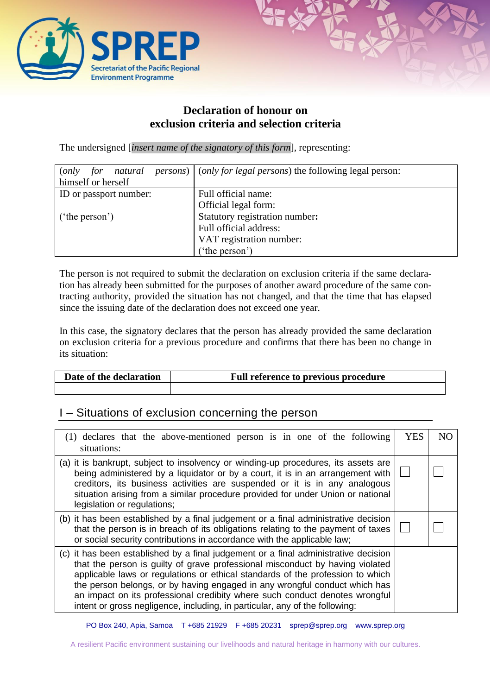

## **Declaration of honour on exclusion criteria and selection criteria**

The undersigned [*insert name of the signatory of this form*], representing:

| natural<br>for<br>(only | <i>persons</i> ) ( <i>only for legal persons</i> ) the following legal person: |
|-------------------------|--------------------------------------------------------------------------------|
| himself or herself      |                                                                                |
| ID or passport number:  | Full official name:                                                            |
|                         | Official legal form:                                                           |
| ('the person')          | Statutory registration number:                                                 |
|                         | Full official address:                                                         |
|                         | VAT registration number:                                                       |
|                         | ('the person')                                                                 |

The person is not required to submit the declaration on exclusion criteria if the same declaration has already been submitted for the purposes of another award procedure of the same contracting authority, provided the situation has not changed, and that the time that has elapsed since the issuing date of the declaration does not exceed one year.

In this case, the signatory declares that the person has already provided the same declaration on exclusion criteria for a previous procedure and confirms that there has been no change in its situation:

| Date of the declaration | <b>Full reference to previous procedure</b> |
|-------------------------|---------------------------------------------|
|                         |                                             |

# I – Situations of exclusion concerning the person

| (1) declares that the above-mentioned person is in one of the following<br>situations:                                                                                                                                                                                                                                                                                                                                                                                                             | <b>YES</b> | NΟ |
|----------------------------------------------------------------------------------------------------------------------------------------------------------------------------------------------------------------------------------------------------------------------------------------------------------------------------------------------------------------------------------------------------------------------------------------------------------------------------------------------------|------------|----|
| (a) it is bankrupt, subject to insolvency or winding-up procedures, its assets are<br>being administered by a liquidator or by a court, it is in an arrangement with<br>creditors, its business activities are suspended or it is in any analogous<br>situation arising from a similar procedure provided for under Union or national<br>legislation or regulations;                                                                                                                               |            |    |
| (b) it has been established by a final judgement or a final administrative decision<br>that the person is in breach of its obligations relating to the payment of taxes<br>or social security contributions in accordance with the applicable law;                                                                                                                                                                                                                                                 |            |    |
| (c) it has been established by a final judgement or a final administrative decision<br>that the person is guilty of grave professional misconduct by having violated<br>applicable laws or regulations or ethical standards of the profession to which<br>the person belongs, or by having engaged in any wrongful conduct which has<br>an impact on its professional credibity where such conduct denotes wrongful<br>intent or gross negligence, including, in particular, any of the following: |            |    |

PO Box 240, Apia, Samoa T +685 21929 F +685 20231 [sprep@sprep.org](mailto:sprep@sprep.org) [www.sprep.org](http://www.sprep.org/)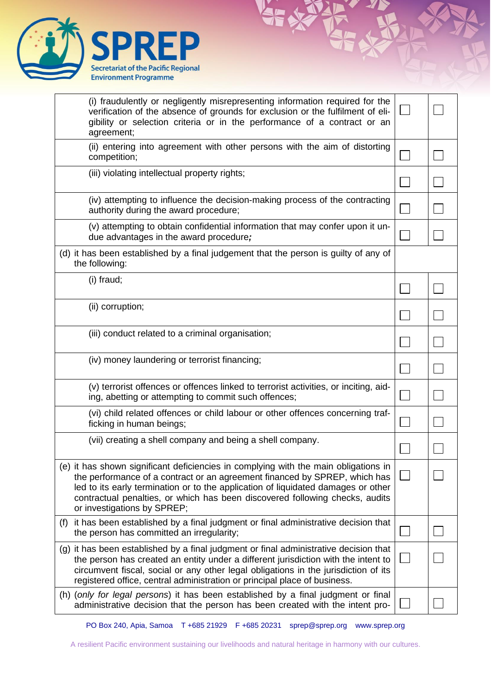

| (i) fraudulently or negligently misrepresenting information required for the<br>verification of the absence of grounds for exclusion or the fulfilment of eli-<br>gibility or selection criteria or in the performance of a contract or an<br>agreement;                                                                                                              |  |
|-----------------------------------------------------------------------------------------------------------------------------------------------------------------------------------------------------------------------------------------------------------------------------------------------------------------------------------------------------------------------|--|
| (ii) entering into agreement with other persons with the aim of distorting<br>competition;                                                                                                                                                                                                                                                                            |  |
| (iii) violating intellectual property rights;                                                                                                                                                                                                                                                                                                                         |  |
| (iv) attempting to influence the decision-making process of the contracting<br>authority during the award procedure;                                                                                                                                                                                                                                                  |  |
| (v) attempting to obtain confidential information that may confer upon it un-<br>due advantages in the award procedure;                                                                                                                                                                                                                                               |  |
| (d) it has been established by a final judgement that the person is guilty of any of<br>the following:                                                                                                                                                                                                                                                                |  |
| (i) fraud;                                                                                                                                                                                                                                                                                                                                                            |  |
| (ii) corruption;                                                                                                                                                                                                                                                                                                                                                      |  |
| (iii) conduct related to a criminal organisation;                                                                                                                                                                                                                                                                                                                     |  |
| (iv) money laundering or terrorist financing;                                                                                                                                                                                                                                                                                                                         |  |
| (v) terrorist offences or offences linked to terrorist activities, or inciting, aid-<br>ing, abetting or attempting to commit such offences;                                                                                                                                                                                                                          |  |
| (vi) child related offences or child labour or other offences concerning traf-<br>ficking in human beings;                                                                                                                                                                                                                                                            |  |
| (vii) creating a shell company and being a shell company.                                                                                                                                                                                                                                                                                                             |  |
| (e) it has shown significant deficiencies in complying with the main obligations in<br>the performance of a contract or an agreement financed by SPREP, which has<br>led to its early termination or to the application of liquidated damages or other<br>contractual penalties, or which has been discovered following checks, audits<br>or investigations by SPREP; |  |
| it has been established by a final judgment or final administrative decision that<br>(f)<br>the person has committed an irregularity;                                                                                                                                                                                                                                 |  |
| (g) it has been established by a final judgment or final administrative decision that<br>the person has created an entity under a different jurisdiction with the intent to<br>circumvent fiscal, social or any other legal obligations in the jurisdiction of its<br>registered office, central administration or principal place of business.                       |  |
| (h) (only for legal persons) it has been established by a final judgment or final<br>administrative decision that the person has been created with the intent pro-                                                                                                                                                                                                    |  |

PO Box 240, Apia, Samoa T +685 21929 F +685 20231 [sprep@sprep.org](mailto:sprep@sprep.org) [www.sprep.org](http://www.sprep.org/)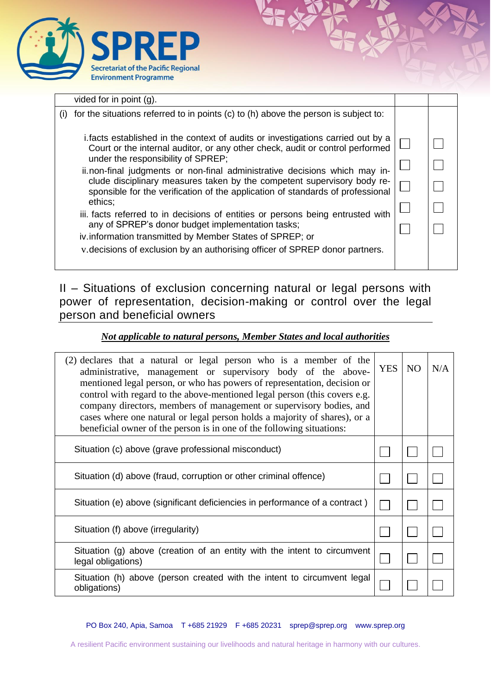

|     | vided for in point $(q)$ .                                                                                                                                        |  |
|-----|-------------------------------------------------------------------------------------------------------------------------------------------------------------------|--|
| (i) | for the situations referred to in points (c) to (h) above the person is subject to:                                                                               |  |
|     | i. facts established in the context of audits or investigations carried out by a<br>Court or the internal auditor, or any other check, audit or control performed |  |
|     | under the responsibility of SPREP;<br>ii.non-final judgments or non-final administrative decisions which may in-                                                  |  |
|     | clude disciplinary measures taken by the competent supervisory body re-<br>sponsible for the verification of the application of standards of professional         |  |
|     | ethics;                                                                                                                                                           |  |
|     | iii. facts referred to in decisions of entities or persons being entrusted with<br>any of SPREP's donor budget implementation tasks;                              |  |
|     | iv.information transmitted by Member States of SPREP; or                                                                                                          |  |
|     | v. decisions of exclusion by an authorising officer of SPREP donor partners.                                                                                      |  |
|     |                                                                                                                                                                   |  |

II – Situations of exclusion concerning natural or legal persons with power of representation, decision-making or control over the legal person and beneficial owners

#### *Not applicable to natural persons, Member States and local authorities*

| (2) declares that a natural or legal person who is a member of the<br>administrative, management or supervisory body of the above-<br>mentioned legal person, or who has powers of representation, decision or<br>control with regard to the above-mentioned legal person (this covers e.g.<br>company directors, members of management or supervisory bodies, and<br>cases where one natural or legal person holds a majority of shares), or a<br>beneficial owner of the person is in one of the following situations: | <b>YES</b> | NO <sub>1</sub> | N/A |
|--------------------------------------------------------------------------------------------------------------------------------------------------------------------------------------------------------------------------------------------------------------------------------------------------------------------------------------------------------------------------------------------------------------------------------------------------------------------------------------------------------------------------|------------|-----------------|-----|
| Situation (c) above (grave professional misconduct)                                                                                                                                                                                                                                                                                                                                                                                                                                                                      |            |                 |     |
| Situation (d) above (fraud, corruption or other criminal offence)                                                                                                                                                                                                                                                                                                                                                                                                                                                        |            |                 |     |
| Situation (e) above (significant deficiencies in performance of a contract)                                                                                                                                                                                                                                                                                                                                                                                                                                              |            |                 |     |
| Situation (f) above (irregularity)                                                                                                                                                                                                                                                                                                                                                                                                                                                                                       |            |                 |     |
| Situation (g) above (creation of an entity with the intent to circumvent<br>legal obligations)                                                                                                                                                                                                                                                                                                                                                                                                                           |            |                 |     |
| Situation (h) above (person created with the intent to circumvent legal<br>obligations)                                                                                                                                                                                                                                                                                                                                                                                                                                  |            |                 |     |

PO Box 240, Apia, Samoa T +685 21929 F +685 20231 [sprep@sprep.org](mailto:sprep@sprep.org) [www.sprep.org](http://www.sprep.org/)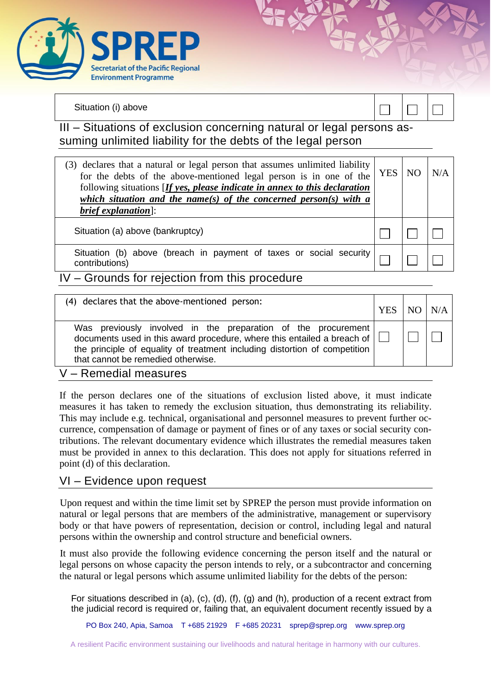

Situation (i) above

III – Situations of exclusion concerning natural or legal persons assuming unlimited liability for the debts of the legal person

| (3) declares that a natural or legal person that assumes unlimited liability<br>for the debts of the above-mentioned legal person is in one of the<br>following situations [ <i>If yes, please indicate in annex to this declaration</i><br>which situation and the name(s) of the concerned person(s) with a<br>$brief\ explanation$ : |  | N/A |
|-----------------------------------------------------------------------------------------------------------------------------------------------------------------------------------------------------------------------------------------------------------------------------------------------------------------------------------------|--|-----|
| Situation (a) above (bankruptcy)                                                                                                                                                                                                                                                                                                        |  |     |
| Situation (b) above (breach in payment of taxes or social security<br>contributions)                                                                                                                                                                                                                                                    |  |     |

IV – Grounds for rejection from this procedure

| (4) declares that the above-mentioned person:                                                                                                                                                                                                                      |  | NO. | N/A |
|--------------------------------------------------------------------------------------------------------------------------------------------------------------------------------------------------------------------------------------------------------------------|--|-----|-----|
| Was previously involved in the preparation of the procurement<br>documents used in this award procedure, where this entailed a breach of $ L $<br>the principle of equality of treatment including distortion of competition<br>that cannot be remedied otherwise. |  |     |     |

### V – Remedial measures

If the person declares one of the situations of exclusion listed above, it must indicate measures it has taken to remedy the exclusion situation, thus demonstrating its reliability. This may include e.g. technical, organisational and personnel measures to prevent further occurrence, compensation of damage or payment of fines or of any taxes or social security contributions. The relevant documentary evidence which illustrates the remedial measures taken must be provided in annex to this declaration. This does not apply for situations referred in point (d) of this declaration.

### VI – Evidence upon request

Upon request and within the time limit set by SPREP the person must provide information on natural or legal persons that are members of the administrative, management or supervisory body or that have powers of representation, decision or control, including legal and natural persons within the ownership and control structure and beneficial owners.

It must also provide the following evidence concerning the person itself and the natural or legal persons on whose capacity the person intends to rely, or a subcontractor and concerning the natural or legal persons which assume unlimited liability for the debts of the person:

For situations described in (a), (c), (d), (f), (g) and (h), production of a recent extract from the judicial record is required or, failing that, an equivalent document recently issued by a

PO Box 240, Apia, Samoa T +685 21929 F +685 20231 [sprep@sprep.org](mailto:sprep@sprep.org) [www.sprep.org](http://www.sprep.org/)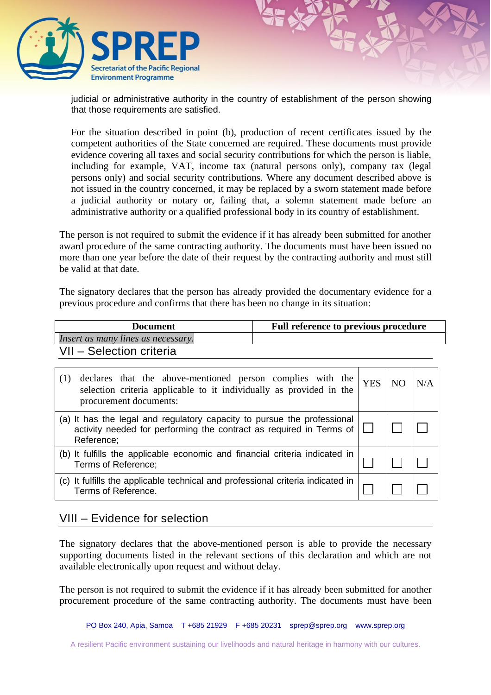

judicial or administrative authority in the country of establishment of the person showing that those requirements are satisfied.

For the situation described in point (b), production of recent certificates issued by the competent authorities of the State concerned are required. These documents must provide evidence covering all taxes and social security contributions for which the person is liable, including for example, VAT, income tax (natural persons only), company tax (legal persons only) and social security contributions. Where any document described above is not issued in the country concerned, it may be replaced by a sworn statement made before a judicial authority or notary or, failing that, a solemn statement made before an administrative authority or a qualified professional body in its country of establishment.

The person is not required to submit the evidence if it has already been submitted for another award procedure of the same contracting authority. The documents must have been issued no more than one year before the date of their request by the contracting authority and must still be valid at that date.

The signatory declares that the person has already provided the documentary evidence for a previous procedure and confirms that there has been no change in its situation:

| <b>Document</b>                    | <b>Full reference to previous procedure</b> |
|------------------------------------|---------------------------------------------|
| Insert as many lines as necessary. |                                             |
| VII - Selection criteria           |                                             |

| declares that the above-mentioned person complies with the<br>(1)<br>selection criteria applicable to it individually as provided in the<br>procurement documents: | <b>YES</b> | NO <sub>1</sub> | N/A |
|--------------------------------------------------------------------------------------------------------------------------------------------------------------------|------------|-----------------|-----|
| (a) It has the legal and regulatory capacity to pursue the professional<br>activity needed for performing the contract as required in Terms of<br>Reference;       |            |                 |     |
| (b) It fulfills the applicable economic and financial criteria indicated in<br>Terms of Reference;                                                                 |            |                 |     |
| (c) It fulfills the applicable technical and professional criteria indicated in<br>Terms of Reference.                                                             |            |                 |     |

### VIII – Evidence for selection

The signatory declares that the above-mentioned person is able to provide the necessary supporting documents listed in the relevant sections of this declaration and which are not available electronically upon request and without delay.

The person is not required to submit the evidence if it has already been submitted for another procurement procedure of the same contracting authority. The documents must have been

PO Box 240, Apia, Samoa T +685 21929 F +685 20231 [sprep@sprep.org](mailto:sprep@sprep.org) [www.sprep.org](http://www.sprep.org/)